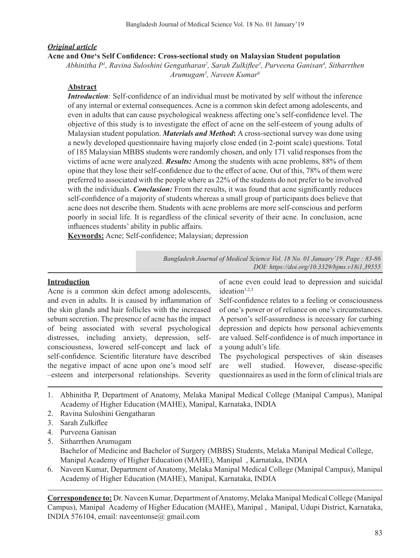## *Original article*

## **Acne and One's Self Confidence: Cross-sectional study on Malaysian Student population**

*Abhinitha P1 , Ravina Suloshini Gengatharan2 , Sarah Zulkiflee<sup>3</sup> , Purveena Ganisan4 , Sitharrthen Arumugam5 , Naveen Kumar6*

# **Abstract**

*Introduction:* Self-confidence of an individual must be motivated by self without the inference of any internal or external consequences. Acne is a common skin defect among adolescents, and even in adults that can cause psychological weakness affecting one's self-confidence level. The objective of this study is to investigate the effect of acne on the self-esteem of young adults of Malaysian student population. *Materials and Method***:** A cross-sectional survey was done using a newly developed questionnaire having majorly close ended (in 2-point scale) questions. Total of 185 Malaysian MBBS students were randomly chosen, and only 171 valid responses from the victims of acne were analyzed. *Results:* Among the students with acne problems, 88% of them opine that they lose their self-confidence due to the effect of acne. Out of this, 78% of them were preferred to associated with the people where as 22% of the students do not prefer to be involved with the individuals. *Conclusion:* From the results, it was found that acne significantly reduces self-confidence of a majority of students whereas a small group of participants does believe that acne does not describe them. Students with acne problems are more self-conscious and perform poorly in social life. It is regardless of the clinical severity of their acne. In conclusion, acne influences students' ability in public affairs.

**Keywords:** Acne; Self-confidence; Malaysian; depression

*Bangladesh Journal of Medical Science Vol. 18 No. 01 January'19. Page : 83-86 DOI: https://doi.org/10.3329/bjms.v18i1.39555*

## **Introduction**

Acne is a common skin defect among adolescents, and even in adults. It is caused by inflammation of the skin glands and hair follicles with the increased sebum secretion. The presence of acne has the impact of being associated with several psychological distresses, including anxiety, depression, selfconsciousness, lowered self-concept and lack of self-confidence. Scientific literature have described the negative impact of acne upon one's mood self –esteem and interpersonal relationships. Severity

of acne even could lead to depression and suicidal  $idealion<sup>1,2,3</sup>$ 

Self-confidence relates to a feeling or consciousness of one's power or of reliance on one's circumstances. A person's self-assuredness is necessary for curbing depression and depicts how personal achievements are valued. Self-confidence is of much importance in a young adult's life.

The psychological perspectives of skin diseases are well studied. However, disease-specific questionnaires as used in the form of clinical trials are

- 1. Abhinitha P, Department of Anatomy, Melaka Manipal Medical College (Manipal Campus), Manipal Academy of Higher Education (MAHE), Manipal, Karnataka, INDIA
- 2. Ravina Suloshini Gengatharan
- 3. Sarah Zulkiflee
- 4. Purveena Ganisan
- 5. Sitharrthen Arumugam Bachelor of Medicine and Bachelor of Surgery (MBBS) Students, Melaka Manipal Medical College, Manipal Academy of Higher Education (MAHE), Manipal , Karnataka, INDIA
- 6. Naveen Kumar, Department of Anatomy, Melaka Manipal Medical College (Manipal Campus), Manipal Academy of Higher Education (MAHE), Manipal, Karnataka, INDIA

**Correspondence to:** Dr. Naveen Kumar, Department of Anatomy, Melaka Manipal Medical College (Manipal) Campus), Manipal Academy of Higher Education (MAHE), Manipal , Manipal, Udupi District, Karnataka, INDIA 576104, email: naveentonse@ gmail.com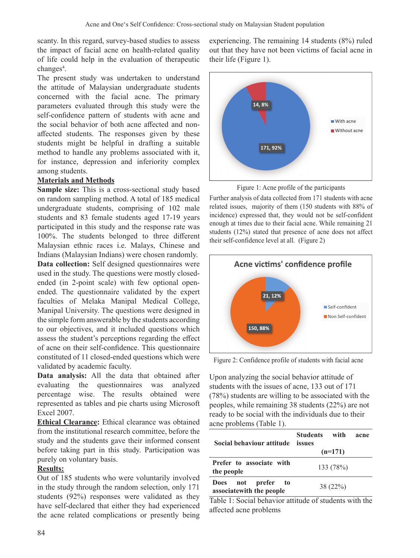scanty. In this regard, survey-based studies to assess the impact of facial acne on health-related quality of life could help in the evaluation of therapeutic changes<sup>4</sup>.

The present study was undertaken to understand the attitude of Malaysian undergraduate students concerned with the facial acne. The primary parameters evaluated through this study were the self-confidence pattern of students with acne and the social behavior of both acne affected and nonaffected students. The responses given by these students might be helpful in drafting a suitable method to handle any problems associated with it, for instance, depression and inferiority complex among students.

# **Materials and Methods**

**Sample size:** This is a cross-sectional study based on random sampling method. A total of 185 medical undergraduate students, comprising of 102 male students and 83 female students aged 17-19 years participated in this study and the response rate was 100%. The students belonged to three different Malaysian ethnic races i.e. Malays, Chinese and Indians (Malaysian Indians) were chosen randomly. **Data collection:** Self designed questionnaires were used in the study. The questions were mostly closedended (in 2-point scale) with few optional openended. The questionnaire validated by the expert faculties of Melaka Manipal Medical College, Manipal University. The questions were designed in the simple form answerable by the students according to our objectives, and it included questions which assess the student's perceptions regarding the effect of acne on their self-confidence. This questionnaire constituted of 11 closed-ended questions which were validated by academic faculty.

**Data analysis:** All the data that obtained after evaluating the questionnaires was analyzed percentage wise. The results obtained were represented as tables and pie charts using Microsoft Excel 2007.

**Ethical Clearance:** Ethical clearance was obtained from the institutional research committee, before the study and the students gave their informed consent before taking part in this study. Participation was purely on voluntary basis.

## **Results:**

Out of 185 students who were voluntarily involved in the study through the random selection, only 171 students (92%) responses were validated as they have self-declared that either they had experienced the acne related complications or presently being

experiencing. The remaining 14 students (8%) ruled out that they have not been victims of facial acne in their life (Figure 1).



Figure 1: Acne profile of the participants

Further analysis of data collected from 171 students with acne related issues, majority of them (150 students with 88% of  $lineed$  *expressed that, they would not be self-confident* enough at times due to their facial acne. While remaining 21 *xtudents* (12%) *stated that presence of acne does not affect their self-confidence level at all. (Figure 2)* 



Figure 2: Confidence profile of students with facial acne

Upon analyzing the social behavior attitude of students with the issues of acne, 133 out of 171 (78%) students are willing to be associated with the peoples, while remaining 38 students (22%) are not ready to be social with the individuals due to their acne problems (Table 1).

| Social behaviour attitude                                             | Students with<br>acne<br>issues |
|-----------------------------------------------------------------------|---------------------------------|
|                                                                       | $(n=171)$                       |
| Prefer to associate with<br>the people                                | 133 (78%)                       |
| not prefer<br><b>Does</b><br>$\mathbf{t}$<br>associatewith the people | 38 (22%)                        |

Table 1: Social behavior attitude of students with the affected acne problems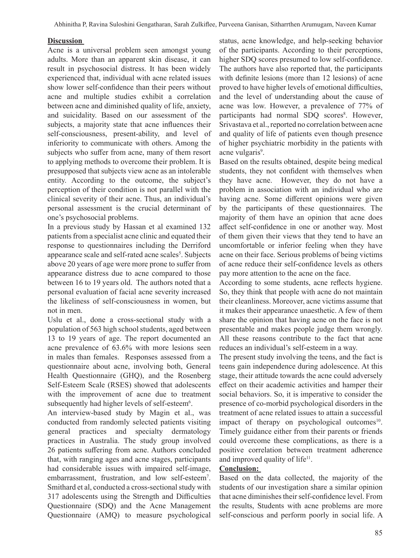# **Discussion**

Acne is a universal problem seen amongst young adults. More than an apparent skin disease, it can result in psychosocial distress. It has been widely experienced that, individual with acne related issues show lower self-confidence than their peers without acne and multiple studies exhibit a correlation between acne and diminished quality of life, anxiety, and suicidality. Based on our assessment of the subjects, a majority state that acne influences their self-consciousness, present-ability, and level of inferiority to communicate with others. Among the subjects who suffer from acne, many of them resort to applying methods to overcome their problem. It is presupposed that subjects view acne as an intolerable entity. According to the outcome, the subject's perception of their condition is not parallel with the clinical severity of their acne. Thus, an individual's personal assessment is the crucial determinant of one's psychosocial problems.

In a previous study by Hassan et al examined 132 patients from a specialist acne clinic and equated their response to questionnaires including the Derriford appearance scale and self-rated acne scales<sup>5</sup>. Subjects above 20 years of age were more prone to suffer from appearance distress due to acne compared to those between 16 to 19 years old. The authors noted that a personal evaluation of facial acne severity increased the likeliness of self-consciousness in women, but not in men.

Uslu et al., done a cross-sectional study with a population of 563 high school students, aged between 13 to 19 years of age. The report documented an acne prevalence of 63.6% with more lesions seen in males than females. Responses assessed from a questionnaire about acne, involving both, General Health Questionnaire (GHQ), and the Rosenberg Self-Esteem Scale (RSES) showed that adolescents with the improvement of acne due to treatment subsequently had higher levels of self-esteem<sup>6</sup>.

An interview-based study by Magin et al., was conducted from randomly selected patients visiting general practices and specialty dermatology practices in Australia. The study group involved 26 patients suffering from acne. Authors concluded that, with ranging ages and acne stages, participants had considerable issues with impaired self-image, embarrassment, frustration, and low self-esteem<sup>7</sup>. Smithard et al, conducted a cross-sectional study with 317 adolescents using the Strength and Difficulties Questionnaire (SDQ) and the Acne Management Questionnaire (AMQ) to measure psychological

status, acne knowledge, and help-seeking behavior of the participants. According to their perceptions, higher SDQ scores presumed to low self-confidence. The authors have also reported that, the participants with definite lesions (more than 12 lesions) of acne proved to have higher levels of emotional difficulties, and the level of understanding about the cause of acne was low. However, a prevalence of 77% of participants had normal SDQ scores8. However, Srivastava et al., reported no correlation between acne and quality of life of patients even though presence of higher psychiatric morbidity in the patients with acne vulgaris<sup>9</sup>.

Based on the results obtained, despite being medical students, they not confident with themselves when they have acne. However, they do not have a problem in association with an individual who are having acne. Some different opinions were given by the participants of these questionnaires. The majority of them have an opinion that acne does affect self-confidence in one or another way. Most of them given their views that they tend to have an uncomfortable or inferior feeling when they have acne on their face. Serious problems of being victims of acne reduce their self-confidence levels as others pay more attention to the acne on the face.

According to some students, acne reflects hygiene. So, they think that people with acne do not maintain their cleanliness. Moreover, acne victims assume that it makes their appearance unaesthetic. A few of them share the opinion that having acne on the face is not presentable and makes people judge them wrongly. All these reasons contribute to the fact that acne reduces an individual's self-esteem in a way.

The present study involving the teens, and the fact is teens gain independence during adolescence. At this stage, their attitude towards the acne could adversely effect on their academic activities and hamper their social behaviors. So, it is imperative to consider the presence of co-morbid psychological disorders in the treatment of acne related issues to attain a successful impact of therapy on psychological outcomes<sup>10</sup>. Timely guidance either from their parents or friends could overcome these complications, as there is a positive correlation between treatment adherence and improved quality of life<sup>11</sup>.

# **Conclusion:**

Based on the data collected, the majority of the students of our investigation share a similar opinion that acne diminishes their self-confidence level. From the results, Students with acne problems are more self-conscious and perform poorly in social life. A